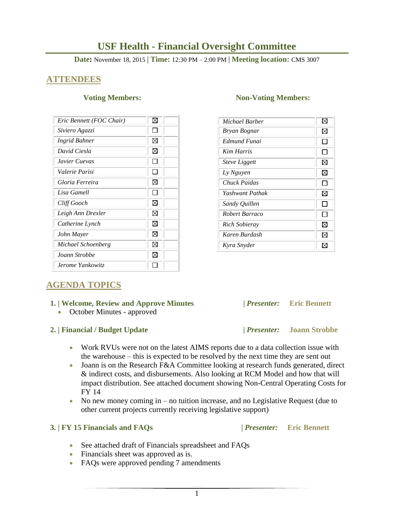# **USF Health - Financial Oversight Committee**

**Date:** November 18, 2015 | **Time:** 12:30 PM – 2:00 PM | **Meeting location:** CMS 3007

## **ATTENDEES**

| Eric Bennett (FOC Chair) | ⊠ |
|--------------------------|---|
| Siviero Agazzi           |   |
| Ingrid Bahner            | ⊠ |
| David Ciesla             | ⊠ |
| Javier Cuevas            |   |
| Valerie Parisi           |   |
| Gloria Ferreira          | ⋈ |
| Lisa Gamell              |   |
| Cliff Gooch              | ⊠ |
| Leigh Ann Drexler        | ⊠ |
| Catherine Lynch          | ⊠ |
| John Mayer               | ⊠ |
| Michael Schoenberg       | ⊠ |
| Joann Strobbe            | ⊠ |
| Jerome Yankowitz         |   |

### **Voting Members:** Non-Voting Members:

| Michael Barber       | ⊠ |
|----------------------|---|
| Bryan Bognar         | ⊠ |
| Edmund Funai         |   |
| <b>Kim Harris</b>    |   |
| <b>Steve Liggett</b> | ⊠ |
| Ly Nguyen            | ⋈ |
| Chuck Paidas         |   |
| Yashwant Pathak      | ⊠ |
| Sandy Quillen        |   |
| Robert Barraco       |   |
| Rich Sobieray        | ⊠ |
| Karen Burdash        | ⊠ |
| Kyra Snyder          |   |

# **AGENDA TOPICS**

### **1. | Welcome, Review and Approve Minutes****|** *Presenter:* **Eric Bennett**

• October Minutes - approved

### **2. | Financial / Budget Update |** *Presenter:* **Joann Strobbe**

- Work RVUs were not on the latest AIMS reports due to a data collection issue with the warehouse – this is expected to be resolved by the next time they are sent out
- Joann is on the Research F&A Committee looking at research funds generated, direct & indirect costs, and disbursements. Also looking at RCM Model and how that will impact distribution. See attached document showing Non-Central Operating Costs for FY 14
- No new money coming in no tuition increase, and no Legislative Request (due to other current projects currently receiving legislative support)

## **3. | FY 15 Financials and FAQs |** *Presenter:* **Eric Bennett**

- See attached draft of Financials spreadsheet and FAQs
- Financials sheet was approved as is.
- FAQs were approved pending 7 amendments